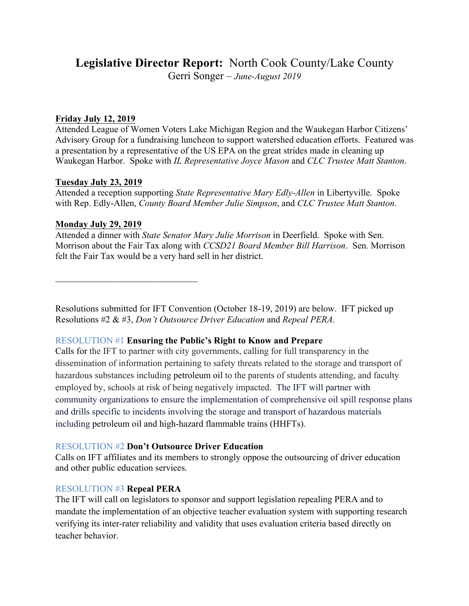# **Legislative Director Report:** North Cook County/Lake County

Gerri Songer – *June-August 2019*

### **Friday July 12, 2019**

Attended League of Women Voters Lake Michigan Region and the Waukegan Harbor Citizens' Advisory Group for a fundraising luncheon to support watershed education efforts. Featured was a presentation by a representative of the US EPA on the great strides made in cleaning up Waukegan Harbor. Spoke with *IL Representative Joyce Mason* and *CLC Trustee Matt Stanton*.

## **Tuesday July 23, 2019**

Attended a reception supporting *State Representative Mary Edly-Allen* in Libertyville. Spoke with Rep. Edly-Allen, *County Board Member Julie Simpson*, and *CLC Trustee Matt Stanton*.

## **Monday July 29, 2019**

Attended a dinner with *State Senator Mary Julie Morrison* in Deerfield. Spoke with Sen. Morrison about the Fair Tax along with *CCSD21 Board Member Bill Harrison*. Sen. Morrison felt the Fair Tax would be a very hard sell in her district.

 $\mathcal{L}_\text{max}$ 

Resolutions submitted for IFT Convention (October 18-19, 2019) are below. IFT picked up Resolutions #2 & #3, *Don't Outsource Driver Education* and *Repeal PERA*.

# RESOLUTION #1 **Ensuring the Public's Right to Know and Prepare**

Calls for the IFT to partner with city governments, calling for full transparency in the dissemination of information pertaining to safety threats related to the storage and transport of hazardous substances including petroleum oil to the parents of students attending, and faculty employed by, schools at risk of being negatively impacted. The IFT will partner with community organizations to ensure the implementation of comprehensive oil spill response plans and drills specific to incidents involving the storage and transport of hazardous materials including petroleum oil and high-hazard flammable trains (HHFTs).

# RESOLUTION #2 **Don't Outsource Driver Education**

Calls on IFT affiliates and its members to strongly oppose the outsourcing of driver education and other public education services.

# RESOLUTION #3 **Repeal PERA**

The IFT will call on legislators to sponsor and support legislation repealing PERA and to mandate the implementation of an objective teacher evaluation system with supporting research verifying its inter-rater reliability and validity that uses evaluation criteria based directly on teacher behavior.